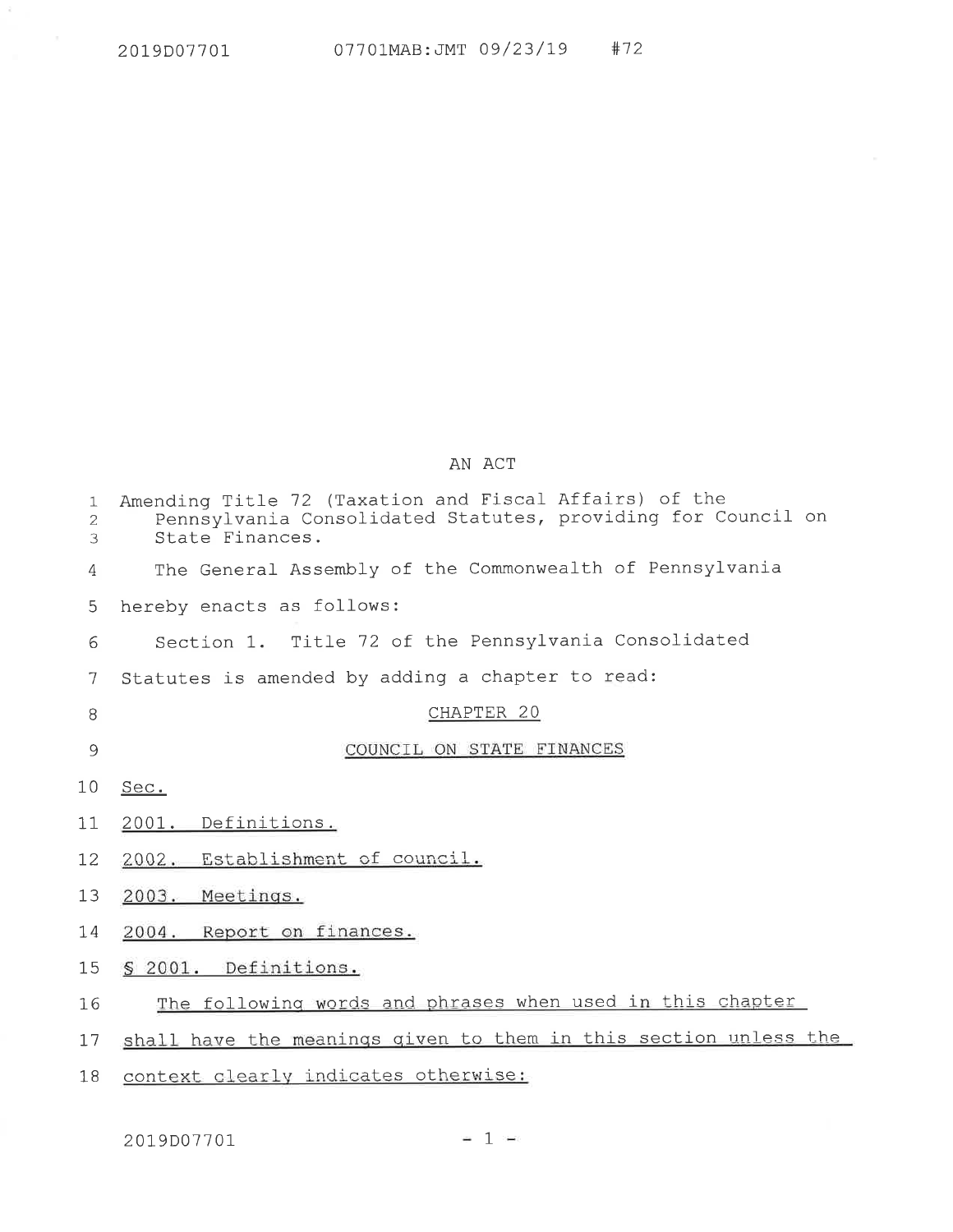$1\,$  $\sqrt{2}$  $\mathcal{S}$  $\overline{4}$ 

 $\overline{5}$ 

 $\sqrt{6}$ 

 $\overline{7}$ 

8

9

 $10$ 

 $11$ 

12

13

14

15

16

| Amending Title 72 (Taxation and Fiscal Affairs) of the<br>Pennsylvania Consolidated Statutes, providing for Council on<br>State Finances. |
|-------------------------------------------------------------------------------------------------------------------------------------------|
| The General Assembly of the Commonwealth of Pennsylvania                                                                                  |
| hereby enacts as follows:                                                                                                                 |
| Section 1. Title 72 of the Pennsylvania Consolidated                                                                                      |
| Statutes is amended by adding a chapter to read:                                                                                          |
| CHAPTER 20                                                                                                                                |
| COUNCIL ON STATE FINANCES                                                                                                                 |
| Sec.                                                                                                                                      |
| 2001. Definitions.                                                                                                                        |
| 2002. Establishment of council.                                                                                                           |
| 2003. Meetings.                                                                                                                           |
| 2004. Report on finances.                                                                                                                 |
| § 2001. Definitions.                                                                                                                      |
| The following words and phrases when used in this chapter                                                                                 |

AN ACT

17 shall have the meanings given to them in this section unless the

18 context clearly indicates otherwise:

2019D07701

 $-1 =$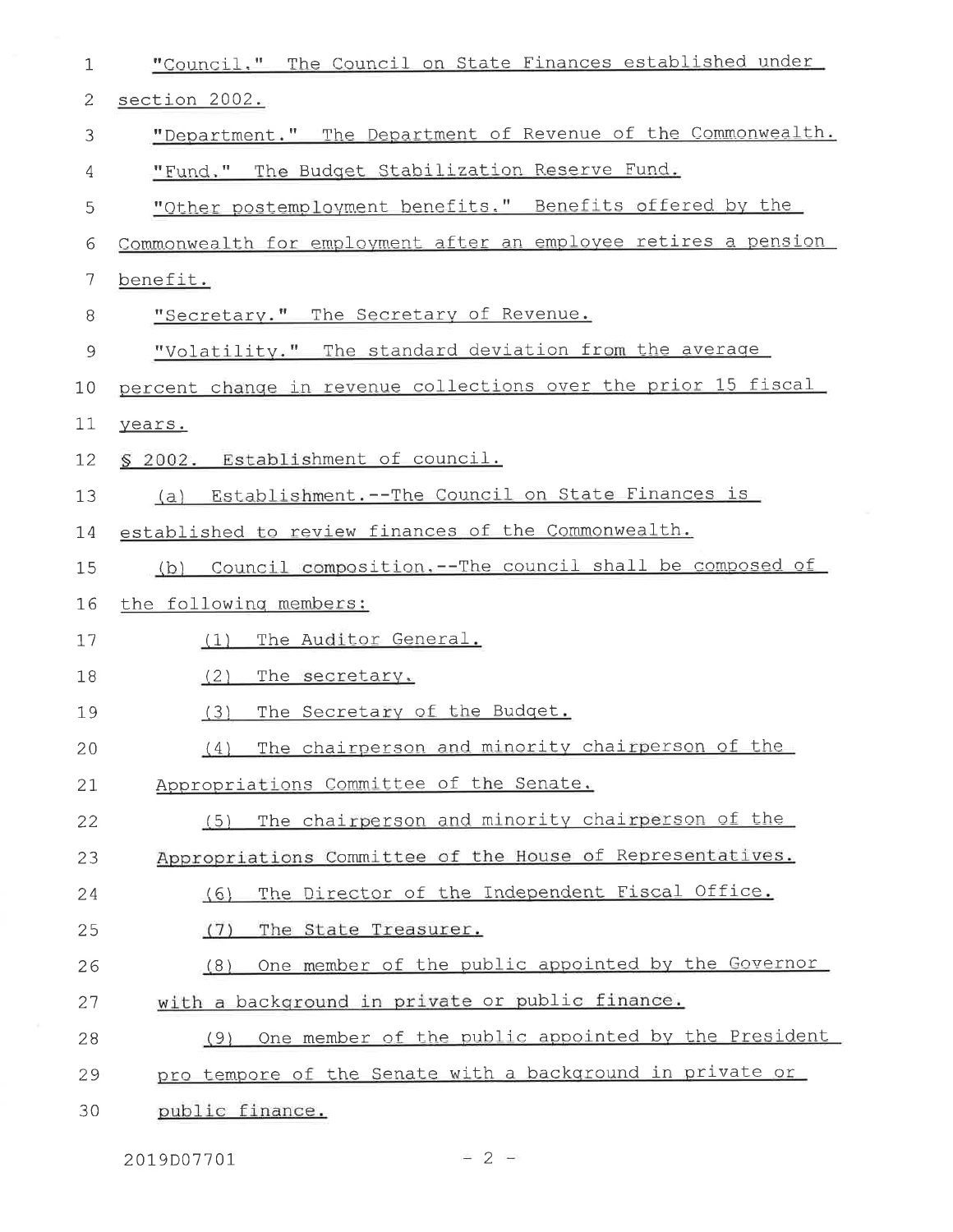| "Council." The Council on State Finances established under      |
|-----------------------------------------------------------------|
| section 2002.                                                   |
| "Department." The Department of Revenue of the Commonwealth.    |
| The Budget Stabilization Reserve Fund.<br>"Fund."               |
| "Other postemployment benefits." Benefits offered by the        |
| Commonwealth for employment after an employee retires a pension |
| benefit.                                                        |
| "Secretary." The Secretary of Revenue.                          |
| "Volatility." The standard deviation from the average           |
| percent change in revenue collections over the prior 15 fiscal  |
| years.                                                          |
| § 2002. Establishment of council.                               |
| Establishment. -- The Council on State Finances is<br>(a)       |
| established to review finances of the Commonwealth.             |
| Council composition.--The council shall be composed of<br>(b)   |
| the following members:                                          |
| The Auditor General.<br>(1)                                     |
| (2)<br>The secretary.                                           |
| The Secretary of the Budget.<br>(3)                             |
| The chairperson and minority chairperson of the<br>(4)          |
| Appropriations Committee of the Senate.                         |
| The chairperson and minority chairperson of the<br>(5)          |
| Appropriations Committee of the House of Representatives.       |
| The Director of the Independent Fiscal Office.<br>(6)           |
| The State Treasurer.<br>(7)                                     |
| One member of the public appointed by the Governor<br>(8)       |
| with a background in private or public finance.                 |
| One member of the public appointed by the President<br>(9)      |
| pro tempore of the Senate with a background in private or       |
| public finance.                                                 |
|                                                                 |

2019D07701

 $= 2 -$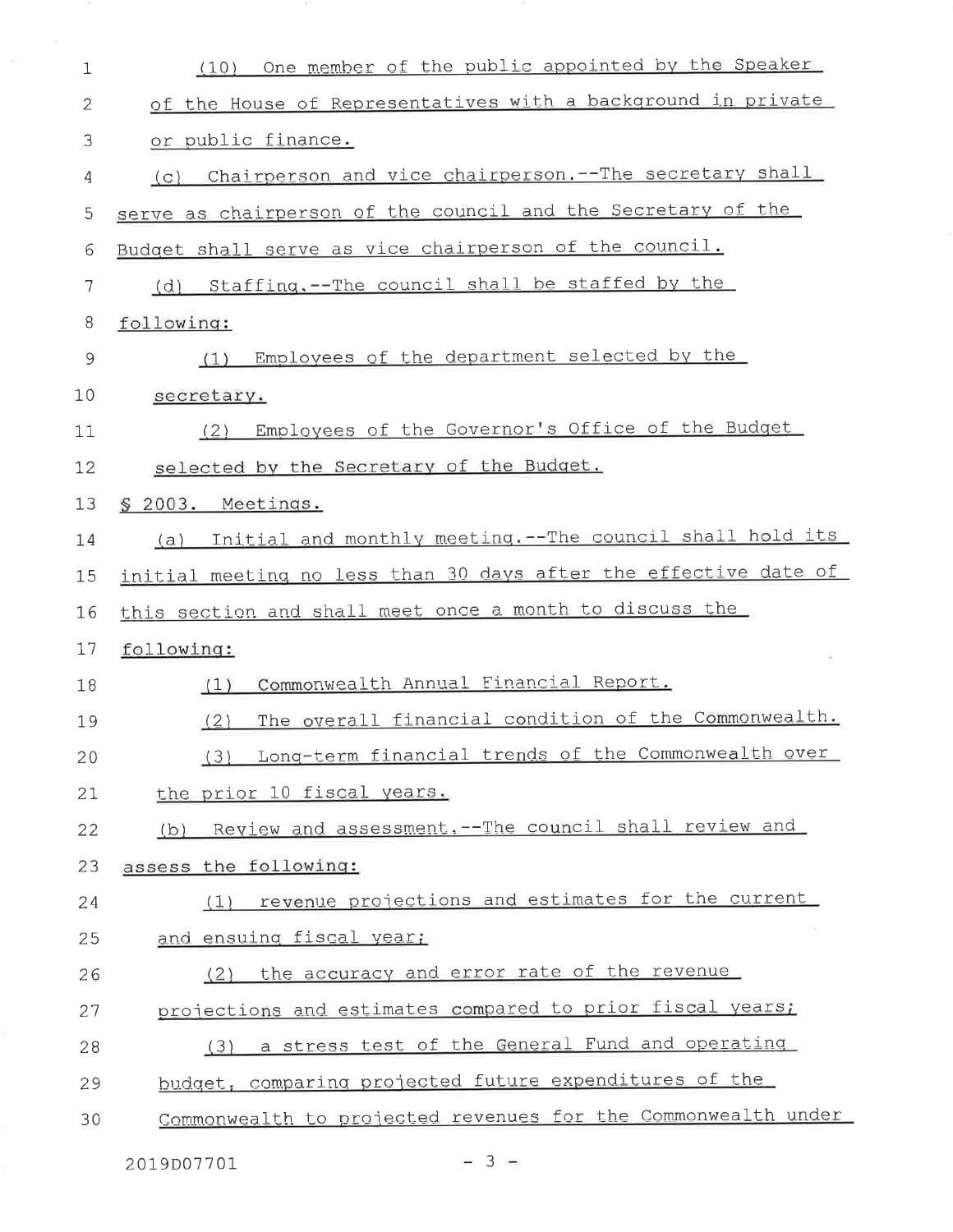| 1           | One member of the public appointed by the Speaker<br>(10)         |
|-------------|-------------------------------------------------------------------|
| 2           | of the House of Representatives with a background in private      |
| 3           | or public finance.                                                |
| 4           | Chairperson and vice chairperson. -- The secretary shall<br>(C)   |
| 5           | serve as chairperson of the council and the Secretary of the      |
| 6           | Budget shall serve as vice chairperson of the council.            |
| 7           | (d) Staffing.--The council shall be staffed by the                |
| 8           | following:                                                        |
| $\mathsf 9$ | Employees of the department selected by the<br>(1)                |
| 10          | secretary.                                                        |
| 11          | Employees of the Governor's Office of the Budget<br>(2)           |
| 12          | selected by the Secretary of the Budget.                          |
| 13          | § 2003. Meetings.                                                 |
| 14          | Initial and monthly meeting. -- The council shall hold its<br>(a) |
| 15          | initial meeting no less than 30 days after the effective date of  |
| 16          | this section and shall meet once a month to discuss the           |
| 17          | following:                                                        |
|             |                                                                   |
| 18          | Commonwealth Annual Financial Report.<br>(1)                      |
| 19          | The overall financial condition of the Commonwealth.<br>(2)       |
| 20          | Long-term financial trends of the Commonwealth over<br>(3)        |
| 21          | the prior 10 fiscal years.                                        |
| 22          | (b) Review and assessment. -- The council shall review and        |
| 23          | assess the following:                                             |
| 24          | revenue projections and estimates for the current<br>(1)          |
| 25          | and ensuing fiscal year;                                          |
| 26          | the accuracy and error rate of the revenue<br>(2)                 |
| 27          | projections and estimates compared to prior fiscal years;         |
| 28          | a stress test of the General Fund and operating<br>(3)            |
| 29          | budget, comparing projected future expenditures of the            |

 $-3 -$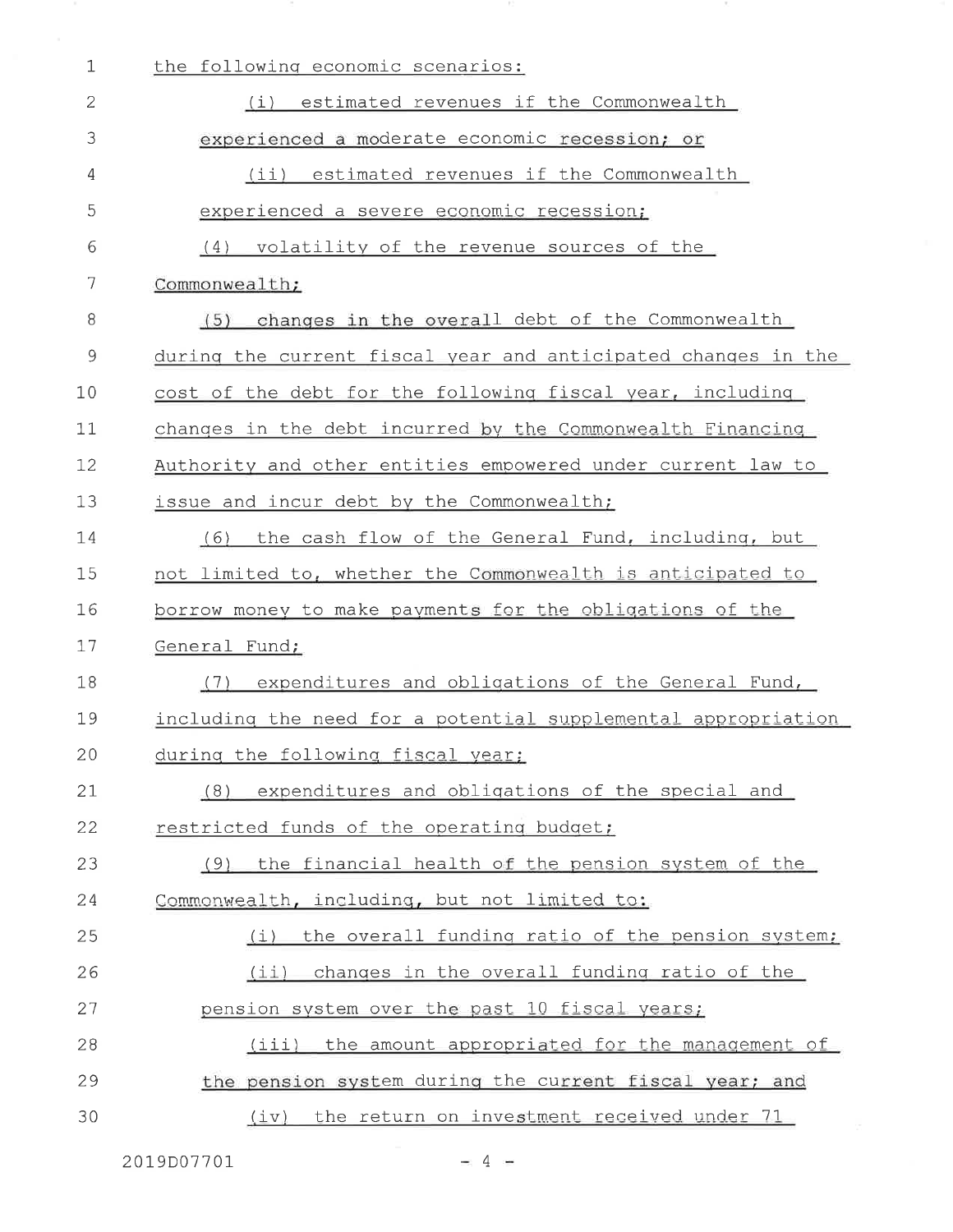| $\mathbf{1}$  | the following economic scenarios:                             |
|---------------|---------------------------------------------------------------|
| 2             | estimated revenues if the Commonwealth<br>(i)                 |
| 3             | experienced a moderate economic recession; or                 |
| 4             | (ii) estimated revenues if the Commonwealth                   |
| 5             | experienced a severe economic recession;                      |
| 6             | volatility of the revenue sources of the<br>(4)               |
| 7             | Commonwealth;                                                 |
| 8             | changes in the overall debt of the Commonwealth<br>(5)        |
| $\mathcal{G}$ | during the current fiscal year and anticipated changes in the |
| 10            | cost of the debt for the following fiscal year, including     |
| 11            | changes in the debt incurred by the Commonwealth Financing    |
| 12            | Authority and other entities empowered under current law to   |
| 13            | issue and incur debt by the Commonwealth;                     |
| 14            | the cash flow of the General Fund, including, but<br>(6)      |
| 15            | not limited to, whether the Commonwealth is anticipated to    |
| 16            | borrow money to make payments for the obligations of the      |
| 17            | General Fund;                                                 |
| 18            | expenditures and obligations of the General Fund,<br>(7)      |
| 19            | including the need for a potential supplemental appropriation |
| 20            | during the following fiscal year;                             |
| 21            | expenditures and obligations of the special and<br>(8)        |
| 22            | restricted funds of the operating budget;                     |
| 23            | the financial health of the pension system of the<br>(9)      |
| 24            | Commonwealth, including, but not limited to:                  |
| 25            | the overall funding ratio of the pension system;<br>(i)       |
| 26            | changes in the overall funding ratio of the<br>(i)            |
| 27            | pension system over the past 10 fiscal years;                 |
| 28            | (iii) the amount appropriated for the management of           |
| 29            | the pension system during the current fiscal year; and        |
|               |                                                               |

 $-4-$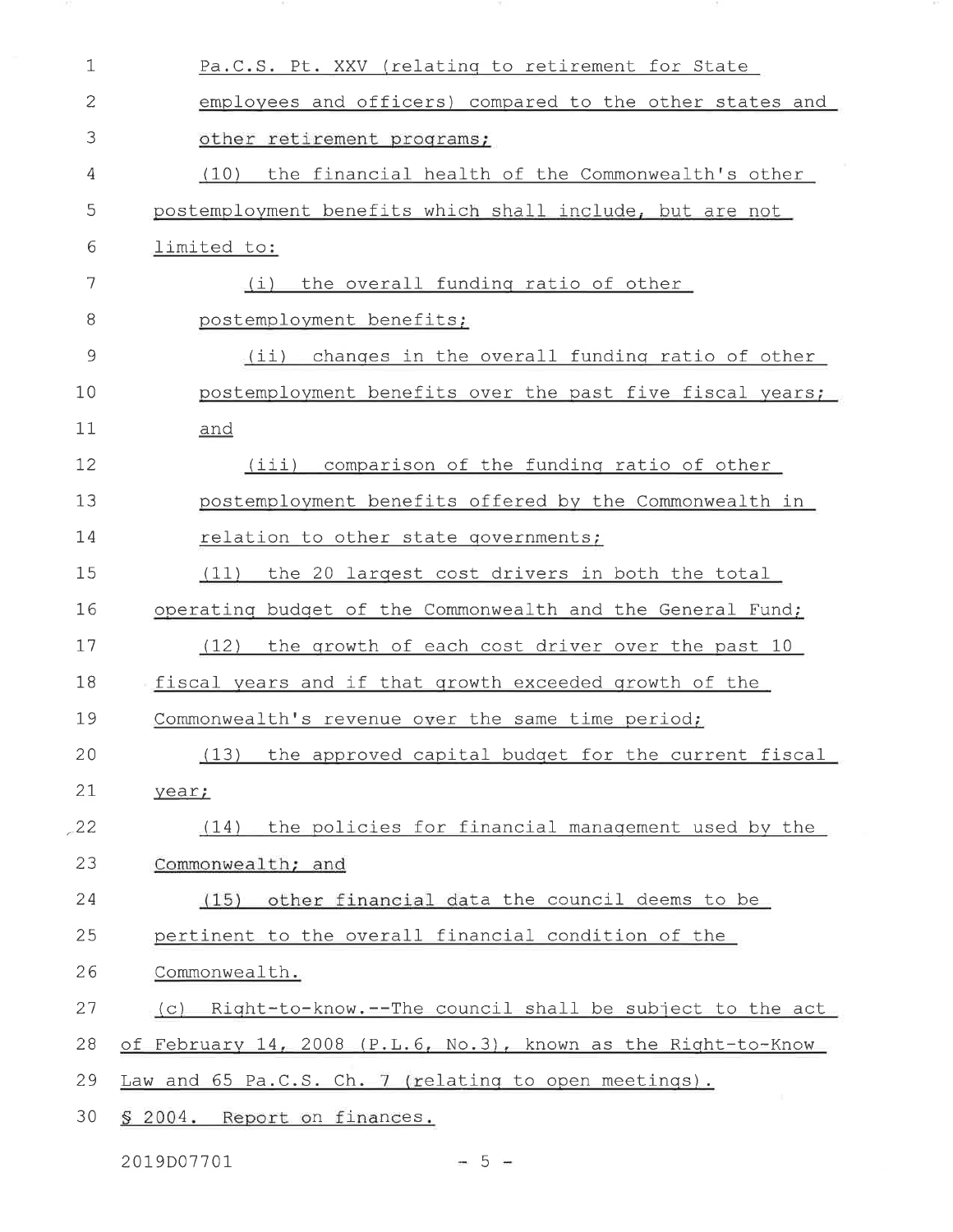| $\mathbf 1$ | Pa.C.S. Pt. XXV (relating to retirement for State              |
|-------------|----------------------------------------------------------------|
| 2           | employees and officers) compared to the other states and       |
| 3           | other retirement programs;                                     |
| 4           | (10) the financial health of the Commonwealth's other          |
| 5           | postemployment benefits which shall include, but are not       |
| 6           | limited to:                                                    |
| 7           | the overall funding ratio of other<br>(i)                      |
| 8           | postemployment benefits;                                       |
| 9           | (ii) changes in the overall funding ratio of other             |
| 10          | postemployment benefits over the past five fiscal years;       |
| 11          | and                                                            |
| 12          | (iii) comparison of the funding ratio of other                 |
| 13          | postemployment benefits offered by the Commonwealth in         |
| 14          | relation to other state governments;                           |
| 15          | the 20 largest cost drivers in both the total<br>(11)          |
| 16          | operating budget of the Commonwealth and the General Fund;     |
| 17          | (12)<br>the growth of each cost driver over the past 10        |
| 18          | fiscal years and if that growth exceeded growth of the         |
| 19          | Commonwealth's revenue over the same time period;              |
| 20          | the approved capital budget for the current fiscal<br>(13)     |
| 21          | year;                                                          |
| 22          | the policies for financial management used by the<br>(14)      |
| 23          | Commonwealth; and                                              |
| 24          | other financial data the council deems to be<br>(15)           |
| 25          | pertinent to the overall financial condition of the            |
| 26          | Commonwealth.                                                  |
| 27          | (c) Right-to-know.--The council shall be subject to the act    |
| 28          | of February 14, 2008 (P.L.6, No.3), known as the Right-to-Know |
| 29          | Law and 65 Pa.C.S. Ch. 7 (relating to open meetings).          |
| 30          | § 2004. Report on finances.                                    |

2019D07701

 $-5 -$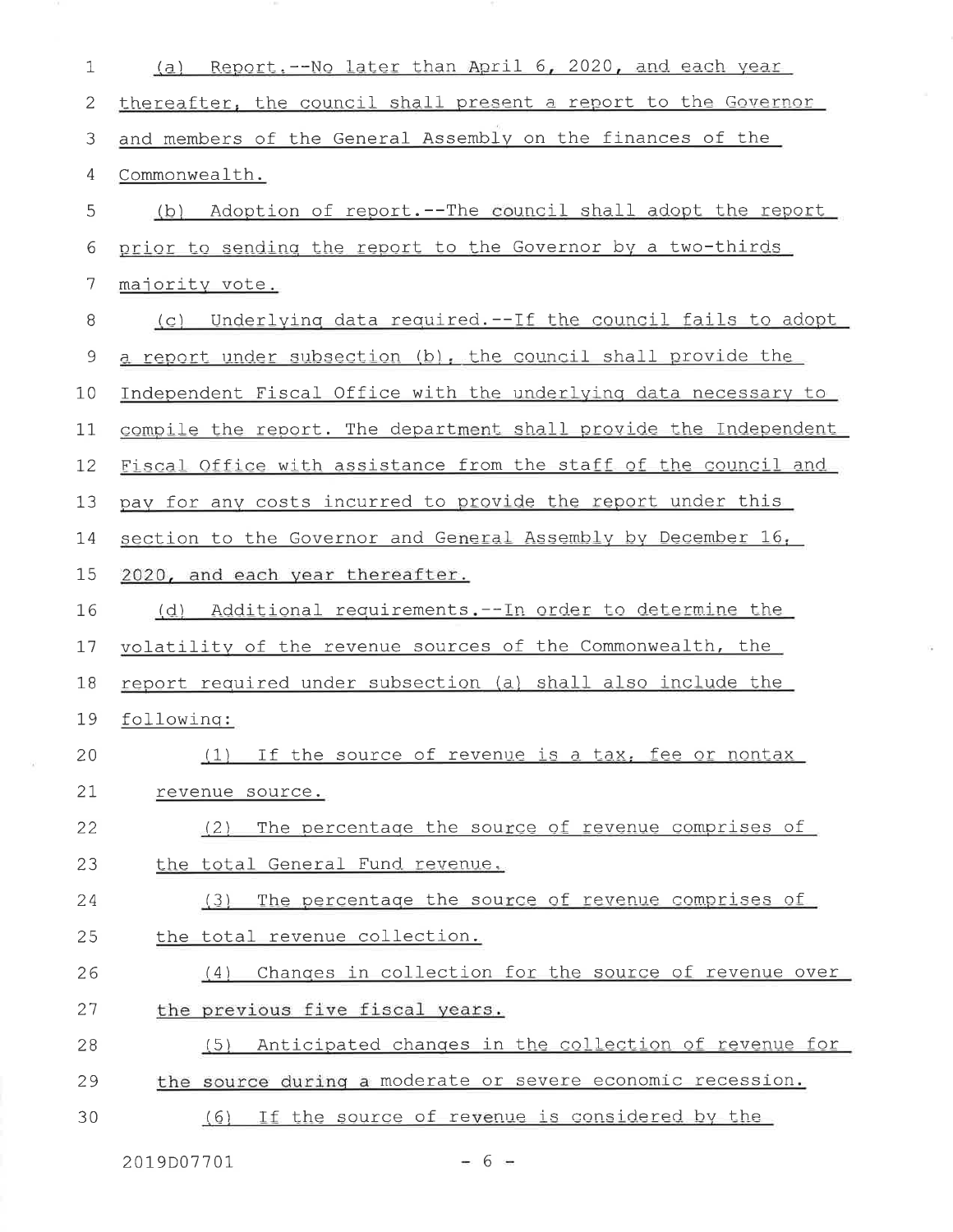| 1              | Report.--No later than April 6, 2020, and each year<br>(a)       |
|----------------|------------------------------------------------------------------|
| 2              | thereafter, the council shall present a report to the Governor   |
| 3              | and members of the General Assembly on the finances of the       |
| 4              | Commonwealth.                                                    |
| 5              | (b) Adoption of report.--The council shall adopt the report      |
| 6              | prior to sending the report to the Governor by a two-thirds      |
| 7              | majority vote.                                                   |
| 8              | Underlying data required.--If the council fails to adopt<br>(C)  |
| $\mathfrak{I}$ | a report under subsection (b), the council shall provide the     |
| 10             | Independent Fiscal Office with the underlying data necessary to  |
| 11             | compile the report. The department shall provide the Independent |
| 12             | Fiscal Office with assistance from the staff of the council and  |
| 13             | pay for any costs incurred to provide the report under this      |
| 14             | section to the Governor and General Assembly by December 16,     |
| 15             | 2020, and each year thereafter.                                  |
| 16             | Additional requirements.--In order to determine the<br>(d)       |
| 17             | volatility of the revenue sources of the Commonwealth, the       |
| 18             | report required under subsection (a) shall also include the      |
| 19             | following:                                                       |
| 20             | If the source of revenue is a tax, fee or nontax                 |
| 21             | revenue source.                                                  |
| 22             | The percentage the source of revenue comprises of<br>(2)         |
| 23             | the total General Fund revenue.                                  |
| 24             | The percentage the source of revenue comprises of<br>(3)         |
| 25             | the total revenue collection.                                    |
| 26             | Changes in collection for the source of revenue over<br>(4)      |
| 27             | the previous five fiscal years.                                  |
| 28             | Anticipated changes in the collection of revenue for<br>(5)      |
| 29             | the source during a moderate or severe economic recession.       |
| 30             | If the source of revenue is considered by the<br>(6)             |

 $\widetilde{\mathcal{F}}$ 

 $-6 =$